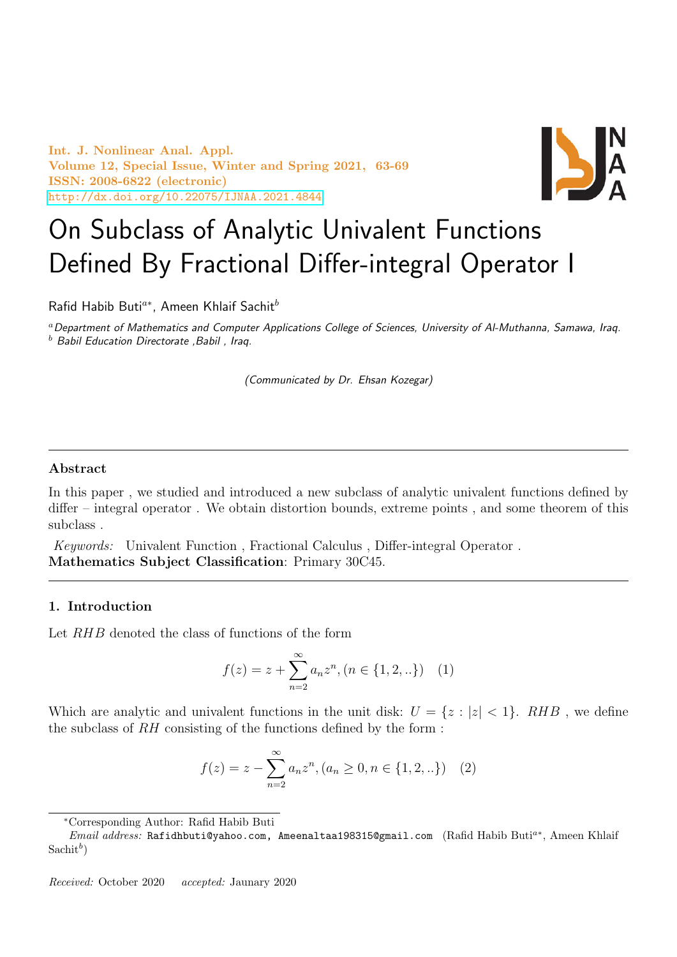Int. J. Nonlinear Anal. Appl. Volume 12, Special Issue, Winter and Spring 2021, 63-69 ISSN: 2008-6822 (electronic) <http://dx.doi.org/10.22075/IJNAA.2021.4844>



## On Subclass of Analytic Univalent Functions Defined By Fractional Differ-integral Operator I

Rafid Habib Buti<sup>a∗</sup>, Ameen Khlaif Sachit<sup>b</sup>

<sup>a</sup>Department of Mathematics and Computer Applications College of Sciences, University of Al-Muthanna, Samawa, Iraq.  $<sup>b</sup>$  Babil Education Directorate , Babil , Iraq.</sup>

(Communicated by Dr. Ehsan Kozegar)

## Abstract

In this paper , we studied and introduced a new subclass of analytic univalent functions defined by differ – integral operator . We obtain distortion bounds, extreme points , and some theorem of this subclass .

Keywords: Univalent Function , Fractional Calculus , Differ-integral Operator . Mathematics Subject Classification: Primary 30C45.

## 1. Introduction

Let RHB denoted the class of functions of the form

$$
f(z) = z + \sum_{n=2}^{\infty} a_n z^n, (n \in \{1, 2, \ldots\}) \quad (1)
$$

Which are analytic and univalent functions in the unit disk:  $U = \{z : |z| < 1\}$ . RHB, we define the subclass of RH consisting of the functions defined by the form :

$$
f(z) = z - \sum_{n=2}^{\infty} a_n z^n, (a_n \ge 0, n \in \{1, 2, ...\})
$$
 (2)

<sup>∗</sup>Corresponding Author: Rafid Habib Buti

*Email address:* Rafidhbuti@yahoo.com, Ameenaltaa198315@gmail.com (Rafid Habib Buti<sup>a\*</sup>, Ameen Khlaif  $\text{Sachit}^b$ )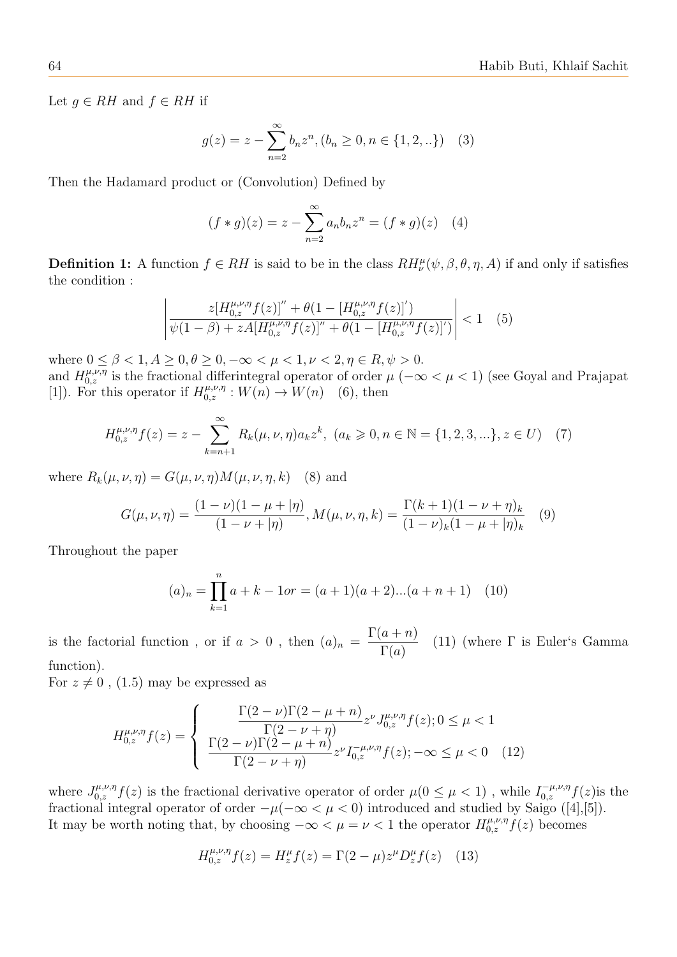Let  $g \in RH$  and  $f \in RH$  if

$$
g(z) = z - \sum_{n=2}^{\infty} b_n z^n, (b_n \ge 0, n \in \{1, 2, ...\})
$$
 (3)

Then the Hadamard product or (Convolution) Defined by

$$
(f * g)(z) = z - \sum_{n=2}^{\infty} a_n b_n z^n = (f * g)(z) \quad (4)
$$

**Definition 1:** A function  $f \in RH$  is said to be in the class  $RH^{\mu}_{\nu}(\psi,\beta,\theta,\eta,A)$  if and only if satisfies the condition :

$$
\left| \frac{z[H_{0,z}^{\mu,\nu,\eta}f(z)]'' + \theta(1 - [H_{0,z}^{\mu,\nu,\eta}f(z)]')}{\psi(1-\beta) + zA[H_{0,z}^{\mu,\nu,\eta}f(z)]'' + \theta(1 - [H_{0,z}^{\mu,\nu,\eta}f(z)]') \right|} < 1 \quad (5)
$$

where  $0 \le \beta < 1, A \ge 0, \theta \ge 0, -\infty < \mu < 1, \nu < 2, \eta \in R, \psi > 0.$ 

and  $H_{0,z}^{\mu,\nu,\eta}$  is the fractional differintegral operator of order  $\mu$  ( $-\infty < \mu < 1$ ) (see Goyal and Prajapat [1]). For this operator if  $H_{0,z}^{\mu,\nu,\eta}: W(n) \to W(n)$  (6), then

$$
H_{0,z}^{\mu,\nu,\eta}f(z) = z - \sum_{k=n+1}^{\infty} R_k(\mu,\nu,\eta) a_k z^k, \ (a_k \ge 0, n \in \mathbb{N} = \{1,2,3,...\}, z \in U) \tag{7}
$$

where  $R_k(\mu, \nu, \eta) = G(\mu, \nu, \eta) M(\mu, \nu, \eta, k)$  (8) and

$$
G(\mu, \nu, \eta) = \frac{(1 - \nu)(1 - \mu + |\eta)}{(1 - \nu + |\eta)}, M(\mu, \nu, \eta, k) = \frac{\Gamma(k + 1)(1 - \nu + \eta)_k}{(1 - \nu)_k (1 - \mu + |\eta)_k} \tag{9}
$$

Throughout the paper

$$
(a)_n = \prod_{k=1}^n a + k - 1 \text{or} = (a+1)(a+2)...(a+n+1) \quad (10)
$$

is the factorial function, or if  $a > 0$ , then  $(a)_n =$  $\Gamma(a+n)$  $\Gamma(a)$ (11) (where  $\Gamma$  is Euler's Gamma function).

For  $z \neq 0$ , (1.5) may be expressed as

$$
H_{0,z}^{\mu,\nu,\eta}f(z) = \begin{cases} \frac{\Gamma(2-\nu)\Gamma(2-\mu+n)}{\Gamma(2-\nu+\eta)}z^{\nu}J_{0,z}^{\mu,\nu,\eta}f(z); 0 \leq \mu < 1\\ \frac{\Gamma(2-\nu)\Gamma(2-\mu+n)}{\Gamma(2-\nu+\eta)}z^{\nu}I_{0,z}^{-\mu,\nu,\eta}f(z); -\infty \leq \mu < 0 \end{cases}
$$
(12)

where  $J_{0,z}^{\mu,\nu,\eta}f(z)$  is the fractional derivative operator of order  $\mu(0 \le \mu < 1)$ , while  $I_{0,z}^{-\mu,\nu,\eta}f(z)$  is the fractional integral operator of order  $-\mu(-\infty < \mu < 0)$  introduced and studied by Saigo ([4],[5]). It may be worth noting that, by choosing  $-\infty < \mu = \nu < 1$  the operator  $H_{0,z}^{\mu,\nu,\eta} f(z)$  becomes

$$
H_{0,z}^{\mu,\nu,\eta}f(z) = H_z^{\mu}f(z) = \Gamma(2-\mu)z^{\mu}D_z^{\mu}f(z)
$$
 (13)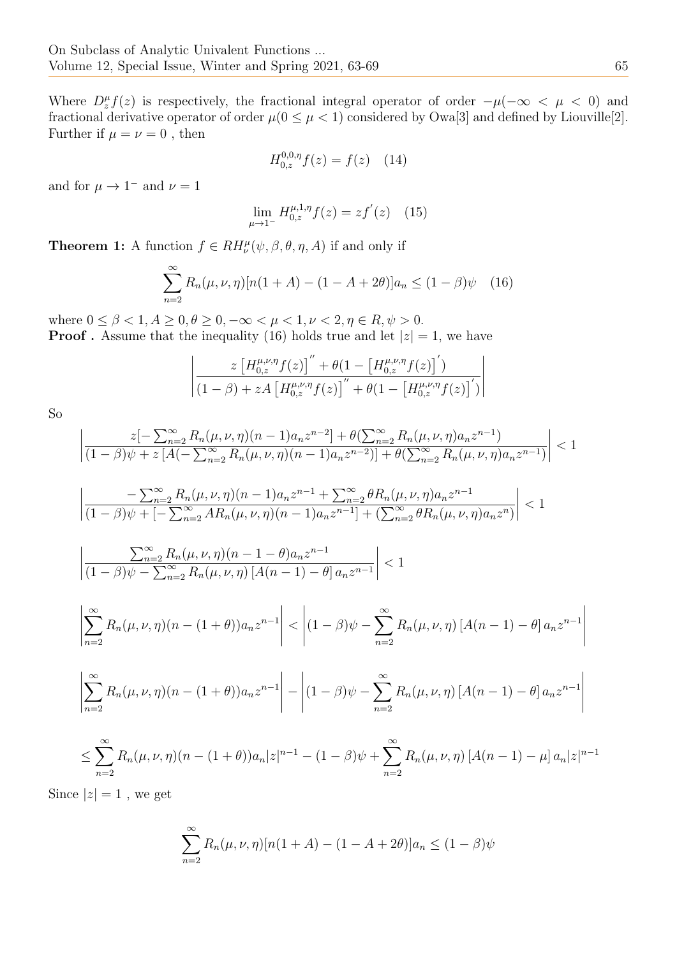Where  $D_z^{\mu} f(z)$  is respectively, the fractional integral operator of order  $-\mu(-\infty < \mu < 0)$  and fractional derivative operator of order  $\mu(0 \le \mu < 1)$  considered by Owa[3] and defined by Liouville[2]. Further if  $\mu = \nu = 0$ , then

$$
H_{0,z}^{0,0,\eta}f(z) = f(z) \quad (14)
$$

and for  $\mu \to 1^-$  and  $\nu = 1$ 

$$
\lim_{\mu \to 1^{-}} H_{0,z}^{\mu,1,\eta} f(z) = z f'(z) \quad (15)
$$

**Theorem 1:** A function  $f \in RH_{\nu}^{\mu}(\psi, \beta, \theta, \eta, A)$  if and only if

$$
\sum_{n=2}^{\infty} R_n(\mu, \nu, \eta) [n(1+A) - (1-A+2\theta)] a_n \le (1-\beta)\psi \quad (16)
$$

where  $0 \le \beta < 1, A \ge 0, \theta \ge 0, -\infty < \mu < 1, \nu < 2, \eta \in R, \psi > 0.$ **Proof**. Assume that the inequality (16) holds true and let  $|z|=1$ , we have

$$
\left| \frac{z \left[H_{0,z}^{\mu,\nu,\eta} f(z)\right]'' + \theta(1 - \left[H_{0,z}^{\mu,\nu,\eta} f(z)\right]')}{(1-\beta) + zA \left[H_{0,z}^{\mu,\nu,\eta} f(z)\right]'' + \theta(1 - \left[H_{0,z}^{\mu,\nu,\eta} f(z)\right]')}\right|
$$

So

$$
\left| \frac{z[-\sum_{n=2}^{\infty} R_n(\mu, \nu, \eta)(n-1)a_n z^{n-2}] + \theta(\sum_{n=2}^{\infty} R_n(\mu, \nu, \eta)a_n z^{n-1})}{(1-\beta)\psi + z[A(-\sum_{n=2}^{\infty} R_n(\mu, \nu, \eta)(n-1)a_n z^{n-2})] + \theta(\sum_{n=2}^{\infty} R_n(\mu, \nu, \eta)a_n z^{n-1})} \right| < 1
$$

$$
\left| \frac{-\sum_{n=2}^{\infty} R_n(\mu, \nu, \eta)(n-1)a_n z^{n-1} + \sum_{n=2}^{\infty} \theta R_n(\mu, \nu, \eta)a_n z^{n-1}}{(1-\beta)\psi + [-\sum_{n=2}^{\infty} AR_n(\mu, \nu, \eta)(n-1)a_n z^{n-1}] + (\sum_{n=2}^{\infty} \theta R_n(\mu, \nu, \eta)a_n z^n) \right| < 1
$$

$$
\left| \frac{\sum_{n=2}^{\infty} R_n(\mu, \nu, \eta)(n-1-\theta) a_n z^{n-1}}{(1-\beta)\psi - \sum_{n=2}^{\infty} R_n(\mu, \nu, \eta) \left[ A(n-1) - \theta \right] a_n z^{n-1}} \right| < 1
$$

$$
\left| \sum_{n=2}^{\infty} R_n(\mu, \nu, \eta)(n - (1 + \theta)) a_n z^{n-1} \right| < \left| (1 - \beta)\psi - \sum_{n=2}^{\infty} R_n(\mu, \nu, \eta) \left[ A(n-1) - \theta \right] a_n z^{n-1} \right|
$$

$$
\left| \sum_{n=2}^{\infty} R_n(\mu, \nu, \eta)(n - (1 + \theta)) a_n z^{n-1} \right| - \left| (1 - \beta) \psi - \sum_{n=2}^{\infty} R_n(\mu, \nu, \eta) \left[ A(n-1) - \theta \right] a_n z^{n-1} \right|
$$

$$
\leq \sum_{n=2}^{\infty} R_n(\mu, \nu, \eta)(n - (1 + \theta))a_n|z|^{n-1} - (1 - \beta)\psi + \sum_{n=2}^{\infty} R_n(\mu, \nu, \eta) [A(n-1) - \mu] a_n|z|^{n-1}
$$

Since  $|z|=1$ , we get

$$
\sum_{n=2}^{\infty} R_n(\mu, \nu, \eta) [n(1 + A) - (1 - A + 2\theta)] a_n \le (1 - \beta)\psi
$$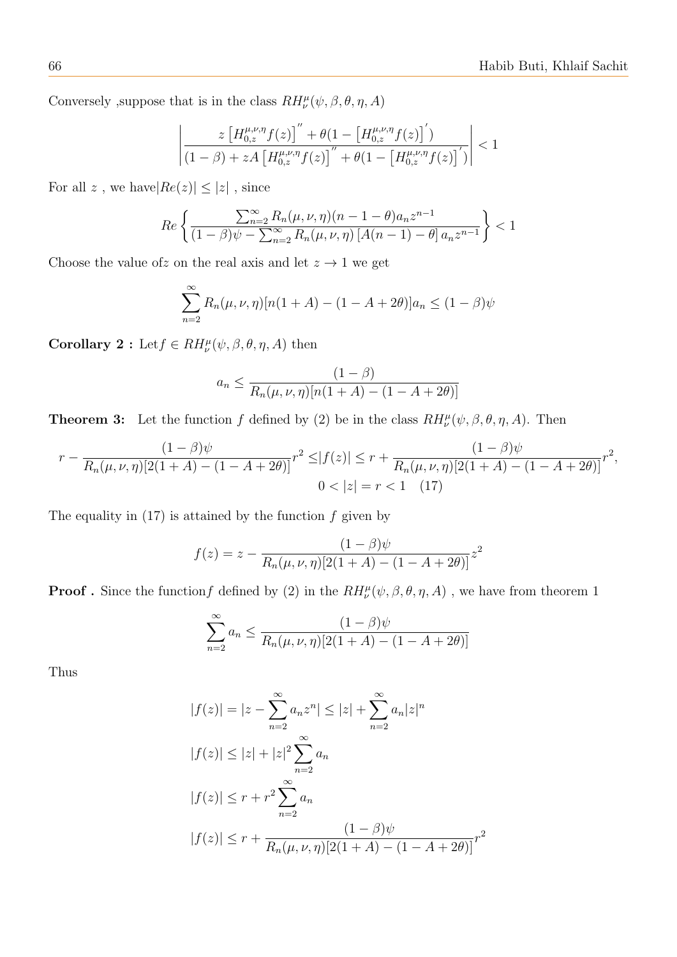Conversely ,<br>suppose that is in the class  $RH_{\nu}^{\mu}(\psi,\beta,\theta,\eta,A)$ 

$$
\left| \frac{z \left[H_{0,z}^{\mu,\nu,\eta} f(z)\right]'' + \theta(1 - \left[H_{0,z}^{\mu,\nu,\eta} f(z)\right]')}{(1-\beta) + zA \left[H_{0,z}^{\mu,\nu,\eta} f(z)\right]'' + \theta(1 - \left[H_{0,z}^{\mu,\nu,\eta} f(z)\right]')}\right| < 1
$$

For all  $z$  , we have<br>  $|Re(z)| \leq |z|$  , since

$$
Re\left\{\frac{\sum_{n=2}^{\infty} R_n(\mu, \nu, \eta)(n-1-\theta)a_n z^{n-1}}{(1-\beta)\psi - \sum_{n=2}^{\infty} R_n(\mu, \nu, \eta) \left[A(n-1) - \theta\right] a_n z^{n-1}}\right\} < 1
$$

Choose the value of z on the real axis and let  $z \to 1$  we get

$$
\sum_{n=2}^{\infty} R_n(\mu, \nu, \eta) [n(1 + A) - (1 - A + 2\theta)] a_n \le (1 - \beta)\psi
$$

**Corollary 2**: Let  $f \in RH_{\nu}^{\mu}(\psi, \beta, \theta, \eta, A)$  then

$$
a_n \le \frac{(1-\beta)}{R_n(\mu, \nu, \eta)[n(1+A) - (1-A+2\theta)]}
$$

**Theorem 3:** Let the function f defined by (2) be in the class  $RH^{\mu}_{\nu}(\psi,\beta,\theta,\eta,A)$ . Then

$$
r - \frac{(1-\beta)\psi}{R_n(\mu,\nu,\eta)[2(1+A)-(1-A+2\theta)]}r^2 \le |f(z)| \le r + \frac{(1-\beta)\psi}{R_n(\mu,\nu,\eta)[2(1+A)-(1-A+2\theta)]}r^2,
$$
  

$$
0 < |z| = r < 1 \quad (17)
$$

The equality in  $(17)$  is attained by the function f given by

$$
f(z) = z - \frac{(1 - \beta)\psi}{R_n(\mu, \nu, \eta)[2(1 + A) - (1 - A + 2\theta)]}z^2
$$

**Proof** . Since the function f defined by (2) in the  $RH_{\nu}^{\mu}(\psi,\beta,\theta,\eta,A)$ , we have from theorem 1

$$
\sum_{n=2}^{\infty} a_n \le \frac{(1-\beta)\psi}{R_n(\mu,\nu,\eta)[2(1+A)-(1-A+2\theta)]}
$$

Thus

$$
|f(z)| = |z - \sum_{n=2}^{\infty} a_n z^n| \le |z| + \sum_{n=2}^{\infty} a_n |z|^n
$$
  

$$
|f(z)| \le |z| + |z|^2 \sum_{n=2}^{\infty} a_n
$$
  

$$
|f(z)| \le r + r^2 \sum_{n=2}^{\infty} a_n
$$
  

$$
|f(z)| \le r + \frac{(1-\beta)\psi}{R_n(\mu, \nu, \eta)[2(1+A) - (1-A+2\theta)]}r^2
$$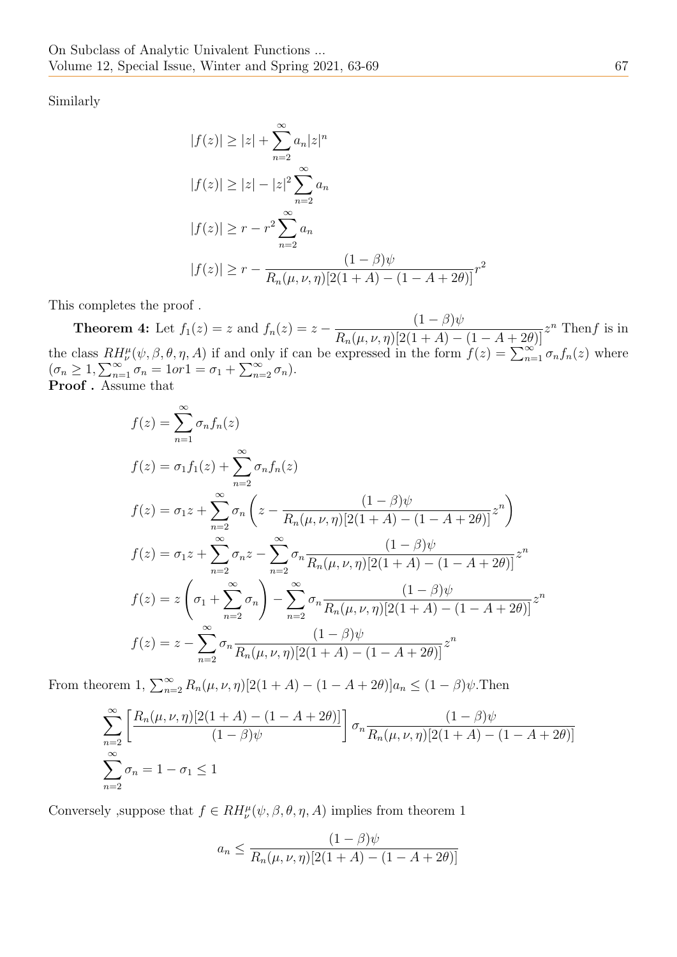Similarly

$$
|f(z)| \ge |z| + \sum_{n=2}^{\infty} a_n |z|^n
$$
  
\n
$$
|f(z)| \ge |z| - |z|^2 \sum_{n=2}^{\infty} a_n
$$
  
\n
$$
|f(z)| \ge r - r^2 \sum_{n=2}^{\infty} a_n
$$
  
\n
$$
|f(z)| \ge r - \frac{(1 - \beta)\psi}{R_n(\mu, \nu, \eta)[2(1 + A) - (1 - A + 2\theta)]}r^2
$$

This completes the proof .

**Theorem 4:** Let  $f_1(z) = z$  and  $f_n(z) = z (1 - \beta)\psi$  $\frac{(1-\beta)\psi}{R_n(\mu,\nu,\eta)[2(1+A)-(1-A+2\theta)]}z^n$  Then f is in the class  $RH_{\nu}^{\mu}(\psi,\beta,\theta,\eta,A)$  if and only if can be expressed in the form  $f(z) = \sum_{n=1}^{\infty} \sigma_n f_n(z)$  where  $(\sigma_n \geq 1, \sum_{n=1}^{\infty} \sigma_n = 1 \text{ or } 1 = \sigma_1 + \sum_{n=2}^{\infty} \sigma_n).$ Proof. Assume that

$$
f(z) = \sum_{n=1}^{\infty} \sigma_n f_n(z)
$$
  
\n
$$
f(z) = \sigma_1 f_1(z) + \sum_{n=2}^{\infty} \sigma_n f_n(z)
$$
  
\n
$$
f(z) = \sigma_1 z + \sum_{n=2}^{\infty} \sigma_n \left( z - \frac{(1-\beta)\psi}{R_n(\mu, \nu, \eta)[2(1+A) - (1-A+2\theta)]} z^n \right)
$$
  
\n
$$
f(z) = \sigma_1 z + \sum_{n=2}^{\infty} \sigma_n z - \sum_{n=2}^{\infty} \sigma_n \frac{(1-\beta)\psi}{R_n(\mu, \nu, \eta)[2(1+A) - (1-A+2\theta)]} z^n
$$
  
\n
$$
f(z) = z \left( \sigma_1 + \sum_{n=2}^{\infty} \sigma_n \right) - \sum_{n=2}^{\infty} \sigma_n \frac{(1-\beta)\psi}{R_n(\mu, \nu, \eta)[2(1+A) - (1-A+2\theta)]} z^n
$$
  
\n
$$
f(z) = z - \sum_{n=2}^{\infty} \sigma_n \frac{(1-\beta)\psi}{R_n(\mu, \nu, \eta)[2(1+A) - (1-A+2\theta)]} z^n
$$

From theorem 1,  $\sum_{n=2}^{\infty} R_n(\mu, \nu, \eta) [2(1 + A) - (1 - A + 2\theta)] a_n \leq (1 - \beta)\psi$ . Then

$$
\sum_{n=2}^{\infty} \left[ \frac{R_n(\mu, \nu, \eta)[2(1+A) - (1-A+2\theta)]}{(1-\beta)\psi} \right] \sigma_n \frac{(1-\beta)\psi}{R_n(\mu, \nu, \eta)[2(1+A) - (1-A+2\theta)]}
$$
  

$$
\sum_{n=2}^{\infty} \sigma_n = 1 - \sigma_1 \le 1
$$

Conversely ,<br>suppose that  $f \in RH_{\nu}^{\mu}(\psi,\beta,\theta,\eta,A)$  implies from theorem  $1$ 

$$
a_n \le \frac{(1-\beta)\psi}{R_n(\mu,\nu,\eta)[2(1+A)-(1-A+2\theta)]}
$$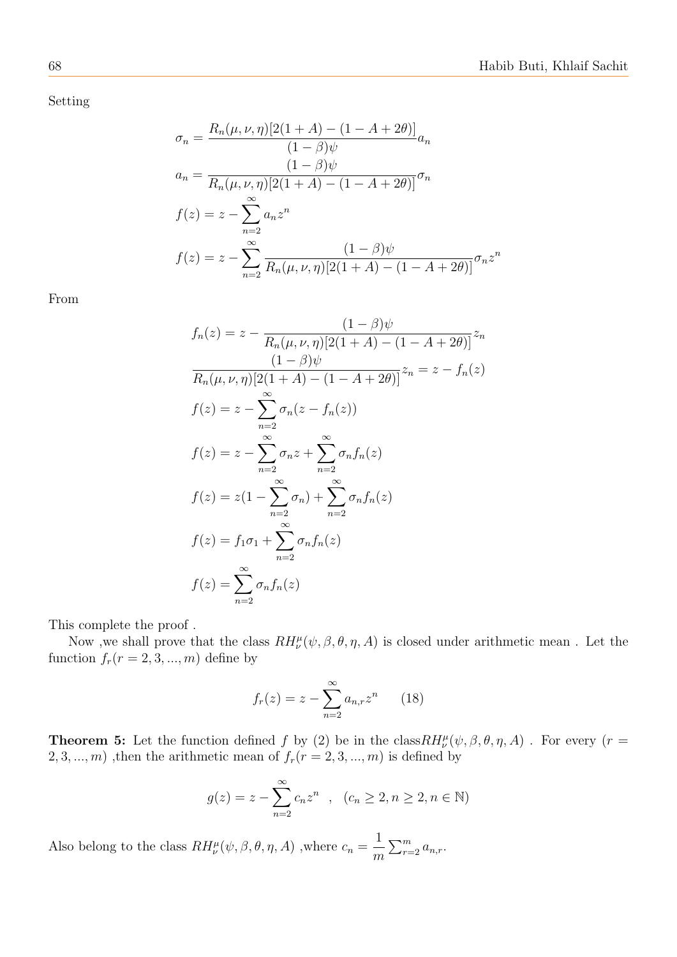Setting

$$
\sigma_n = \frac{R_n(\mu, \nu, \eta)[2(1+A) - (1-A+2\theta)]}{(1-\beta)\psi} a_n
$$
  
\n
$$
a_n = \frac{(1-\beta)\psi}{R_n(\mu, \nu, \eta)[2(1+A) - (1-A+2\theta)]} \sigma_n
$$
  
\n
$$
f(z) = z - \sum_{n=2}^{\infty} a_n z^n
$$
  
\n
$$
f(z) = z - \sum_{n=2}^{\infty} \frac{(1-\beta)\psi}{R_n(\mu, \nu, \eta)[2(1+A) - (1-A+2\theta)]} \sigma_n z^n
$$

From

$$
f_n(z) = z - \frac{(1-\beta)\psi}{R_n(\mu, \nu, \eta)[2(1+A) - (1-A+2\theta)]} z_n
$$

$$
\frac{(1-\beta)\psi}{R_n(\mu, \nu, \eta)[2(1+A) - (1-A+2\theta)]} z_n = z - f_n(z)
$$

$$
f(z) = z - \sum_{n=2}^{\infty} \sigma_n (z - f_n(z))
$$

$$
f(z) = z - \sum_{n=2}^{\infty} \sigma_n z + \sum_{n=2}^{\infty} \sigma_n f_n(z)
$$

$$
f(z) = z(1 - \sum_{n=2}^{\infty} \sigma_n) + \sum_{n=2}^{\infty} \sigma_n f_n(z)
$$

$$
f(z) = f_1 \sigma_1 + \sum_{n=2}^{\infty} \sigma_n f_n(z)
$$

$$
f(z) = \sum_{n=2}^{\infty} \sigma_n f_n(z)
$$

This complete the proof .

Now , we shall prove that the class  $RH^{\mu}_{\nu}(\psi,\beta,\theta,\eta,A)$  is closed under arithmetic mean. Let the function  $f_r(r = 2, 3, ..., m)$  define by

$$
f_r(z) = z - \sum_{n=2}^{\infty} a_{n,r} z^n
$$
 (18)

**Theorem 5:** Let the function defined f by (2) be in the class  $RH_{\nu}^{\mu}(\psi,\beta,\theta,\eta,A)$ . For every (r =  $2, 3, \ldots, m$ ), then the arithmetic mean of  $f_r(r = 2, 3, \ldots, m)$  is defined by

$$
g(z) = z - \sum_{n=2}^{\infty} c_n z^n
$$
,  $(c_n \ge 2, n \ge 2, n \in \mathbb{N})$ 

Also belong to the class  $RH_{\nu}^{\mu}(\psi,\beta,\theta,\eta,A)$  ,<br>where  $c_n=$ 1 m  $\sum_{r=2}^{m} a_{n,r}$ .